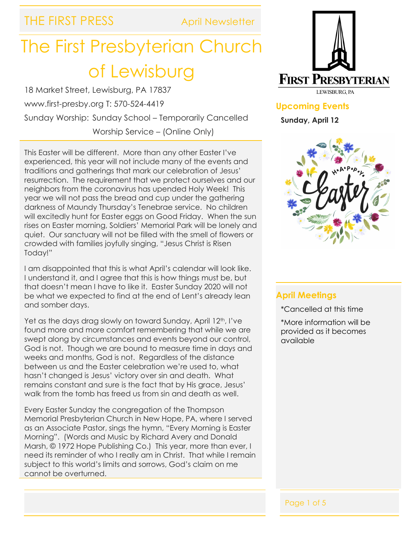THE FIRST PRESS April Newsletter

# The First Presbyterian Church of Lewisburg

18 Market Street, Lewisburg, PA 17837 www.first-presby.org T: 570-524-4419 Sunday Worship: Sunday School – Temporarily Cancelled Worship Service – (Online Only)

This Easter will be different. More than any other Easter I've experienced, this year will not include many of the events and traditions and gatherings that mark our celebration of Jesus' resurrection. The requirement that we protect ourselves and our neighbors from the coronavirus has upended Holy Week! This year we will not pass the bread and cup under the gathering darkness of Maundy Thursday's Tenebrae service. No children will excitedly hunt for Easter eggs on Good Friday. When the sun rises on Easter morning, Soldiers' Memorial Park will be lonely and quiet. Our sanctuary will not be filled with the smell of flowers or crowded with families joyfully singing, "Jesus Christ is Risen Today!"

I am disappointed that this is what April's calendar will look like. I understand it, and I agree that this is how things must be, but that doesn't mean I have to like it. Easter Sunday 2020 will not be what we expected to find at the end of Lent's already lean and somber days.

Yet as the days drag slowly on toward Sunday, April 12<sup>th</sup>, I've found more and more comfort remembering that while we are swept along by circumstances and events beyond our control, God is not. Though we are bound to measure time in days and weeks and months, God is not. Regardless of the distance between us and the Easter celebration we're used to, what hasn't changed is Jesus' victory over sin and death. What remains constant and sure is the fact that by His grace, Jesus' walk from the tomb has freed us from sin and death as well.

Every Easter Sunday the congregation of the Thompson Memorial Presbyterian Church in New Hope, PA, where I served as an Associate Pastor, sings the hymn, "Every Morning is Easter Morning". (Words and Music by Richard Avery and Donald Marsh, © 1972 Hope Publishing Co.) This year, more than ever, I need its reminder of who I really am in Christ. That while I remain subject to this world's limits and sorrows, God's claim on me cannot be overturned.



**Upcoming Events Sunday, April 12**



#### **April Meetings**

- \*Cancelled at this time
- \*More information will be provided as it becomes available

#### Page 1 of 5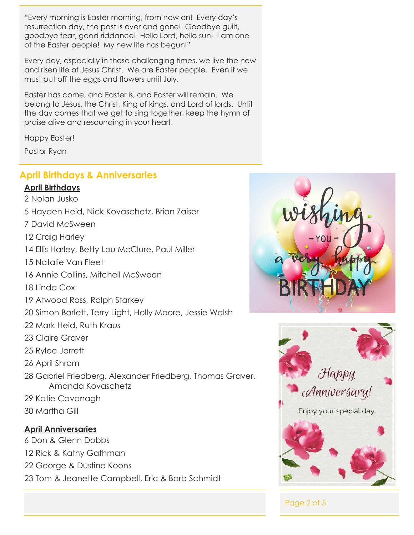"Every morning is Easter morning, from now on! Every day's resurrection day, the past is over and gone! Goodbye guilt, goodbye fear, good riddance! Hello Lord, hello sun! I am one of the Easter people! My new life has begun!"

Every day, especially in these challenging times, we live the new and risen life of Jesus Christ. We are Easter people. Even if we must put off the eggs and flowers until July.

Easter has come, and Easter is, and Easter will remain. We belong to Jesus, the Christ, King of kings, and Lord of lords. Until the day comes that we get to sing together, keep the hymn of praise alive and resounding in your heart.

Happy Easter!

Pastor Ryan

### **April Birthdays & Anniversaries**

#### **April Birthdays**

- 2 Nolan Jusko
- 5 Hayden Heid, Nick Kovaschetz, Brian Zaiser
- 7 David McSween
- 12 Craig Harley
- 14 Ellis Harley, Betty Lou McClure, Paul Miller
- 15 Natalie Van Fleet
- 16 Annie Collins, Mitchell McSween
- 18 Linda Cox
- 19 Atwood Ross, Ralph Starkey
- 20 Simon Barlett, Terry Light, Holly Moore, Jessie Walsh
- 22 Mark Heid, Ruth Kraus
- 23 Claire Graver
- 25 Rylee Jarrett
- 26 April Shrom
- 28 Gabriel Friedberg, Alexander Friedberg, Thomas Graver, Amanda Kovaschetz
- 29 Katie Cavanagh
- 30 Martha Gill

#### **April Anniversaries**

6 Don & Glenn Dobbs

- 12 Rick & Kathy Gathman
- 22 George & Dustine Koons

23 Tom & Jeanette Campbell, Eric & Barb Schmidt





Page 2 of 5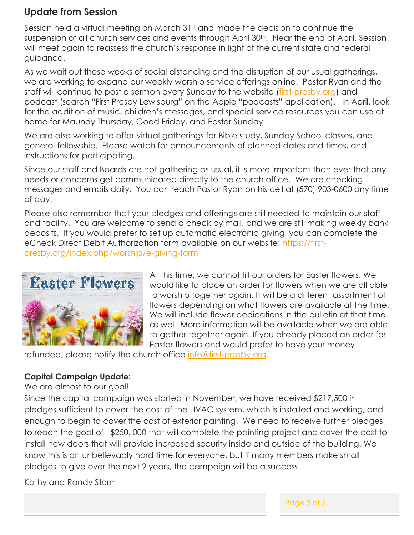# **Update from Session**

Session held a virtual meeting on March 31st and made the decision to continue the suspension of all church services and events through April 30<sup>th</sup>. Near the end of April, Session will meet again to reassess the church's response in light of the current state and federal guidance.

As we wait out these weeks of social distancing and the disruption of our usual gatherings, we are working to expand our weekly worship service offerings online. Pastor Ryan and the staff will continue to post a sermon every Sunday to the website [\(first-presby.org\)](https://first-presby.org/) and podcast (search "First Presby Lewisburg" on the Apple "podcasts" application). In April, look for the addition of music, children's messages, and special service resources you can use at home for Maundy Thursday, Good Friday, and Easter Sunday.

We are also working to offer virtual gatherings for Bible study, Sunday School classes, and general fellowship. Please watch for announcements of planned dates and times, and instructions for participating.

Since our staff and Boards are not gathering as usual, it is more important than ever that any needs or concerns get communicated directly to the church office. We are checking messages and emails daily. You can reach Pastor Ryan on his cell at (570) 903-0600 any time of day.

Please also remember that your pledges and offerings are still needed to maintain our staff and facility. You are welcome to send a check by mail, and we are still making weekly bank deposits. If you would prefer to set up automatic electronic giving, you can complete the eCheck Direct Debit Authorization form available on our website: [https://first](https://first-presby.org/index.php/worship/e-giving-form)[presby.org/index.php/worship/e-giving-form](https://first-presby.org/index.php/worship/e-giving-form)



At this time, we cannot fill our orders for Easter flowers. We would like to place an order for flowers when we are all able to worship together again. It will be a different assortment of flowers depending on what flowers are available at the time. We will include flower dedications in the bulletin at that time as well. More information will be available when we are able to gather together again. If you already placed an order for Easter flowers and would prefer to have your money

refunded, please notify the church office [info@first-presby.org.](mailto:info@first-presby.org)

#### **Capital Campaign Update:**

We are almost to our goal!

Since the capital campaign was started in November, we have received \$217,500 in pledges sufficient to cover the cost of the HVAC system, which is installed and working, and enough to begin to cover the cost of exterior painting. We need to receive further pledges to reach the goal of \$250, 000 that will complete the painting project and cover the cost to install new doors that will provide increased security inside and outside of the building. We know this is an unbelievably hard time for everyone, but if many members make small pledges to give over the next 2 years, the campaign will be a success.

Kathy and Randy Storm

Page 3 of 5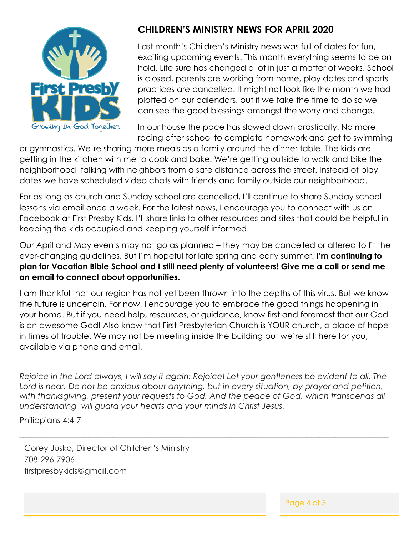

# **CHILDREN'S MINISTRY NEWS FOR APRIL 2020**

Last month's Children's Ministry news was full of dates for fun, exciting upcoming events. This month everything seems to be on hold. Life sure has changed a lot in just a matter of weeks. School is closed, parents are working from home, play dates and sports practices are cancelled. It might not look like the month we had plotted on our calendars, but if we take the time to do so we can see the good blessings amongst the worry and change.

In our house the pace has slowed down drastically. No more racing after school to complete homework and get to swimming

or gymnastics. We're sharing more meals as a family around the dinner table. The kids are getting in the kitchen with me to cook and bake. We're getting outside to walk and bike the neighborhood, talking with neighbors from a safe distance across the street. Instead of play dates we have scheduled video chats with friends and family outside our neighborhood.

For as long as church and Sunday school are cancelled, I'll continue to share Sunday school lessons via email once a week. For the latest news, I encourage you to connect with us on Facebook at First Presby Kids. I'll share links to other resources and sites that could be helpful in keeping the kids occupied and keeping yourself informed.

Our April and May events may not go as planned – they may be cancelled or altered to fit the ever-changing guidelines. But I'm hopeful for late spring and early summer. **I'm continuing to plan for Vacation Bible School and I still need plenty of volunteers! Give me a call or send me an email to connect about opportunities.**

I am thankful that our region has not yet been thrown into the depths of this virus. But we know the future is uncertain. For now, I encourage you to embrace the good things happening in your home. But if you need help, resources, or guidance, know first and foremost that our God is an awesome God! Also know that First Presbyterian Church is YOUR church, a place of hope in times of trouble. We may not be meeting inside the building but we're still here for you, available via phone and email.

*Rejoice in the Lord always, I will say it again: Rejoice! Let your gentleness be evident to all. The Lord is near. Do not be anxious about anything, but in every situation, by prayer and petition,*  with thanksgiving, present your requests to God. And the peace of God, which transcends all *understanding, will guard your hearts and your minds in Christ Jesus.*

\_\_\_\_\_\_\_\_\_\_\_\_\_\_\_\_\_\_\_\_\_\_\_\_\_\_\_\_\_\_\_\_\_\_\_\_\_\_\_\_\_\_\_\_\_\_\_\_\_\_\_\_\_\_\_\_\_\_\_\_\_\_\_\_\_\_\_\_\_\_\_\_\_\_\_\_\_\_\_\_\_\_\_\_\_\_\_\_\_\_\_

**\_\_\_\_\_\_\_\_\_\_\_\_\_\_\_\_\_\_\_\_\_\_\_\_\_\_\_\_\_\_\_\_\_\_\_\_\_\_\_\_\_\_\_\_\_\_\_\_\_\_\_\_\_\_\_\_\_\_\_\_\_\_\_\_\_\_\_\_\_\_\_\_\_\_\_\_\_\_\_\_\_\_\_\_\_\_\_\_\_\_\_\_\_\_\_\_\_\_\_**

Philippians 4:4-7

Corey Jusko, Director of Children's Ministry 708-296-7906 firstpresbykids@gmail.com

Page 4 of 5